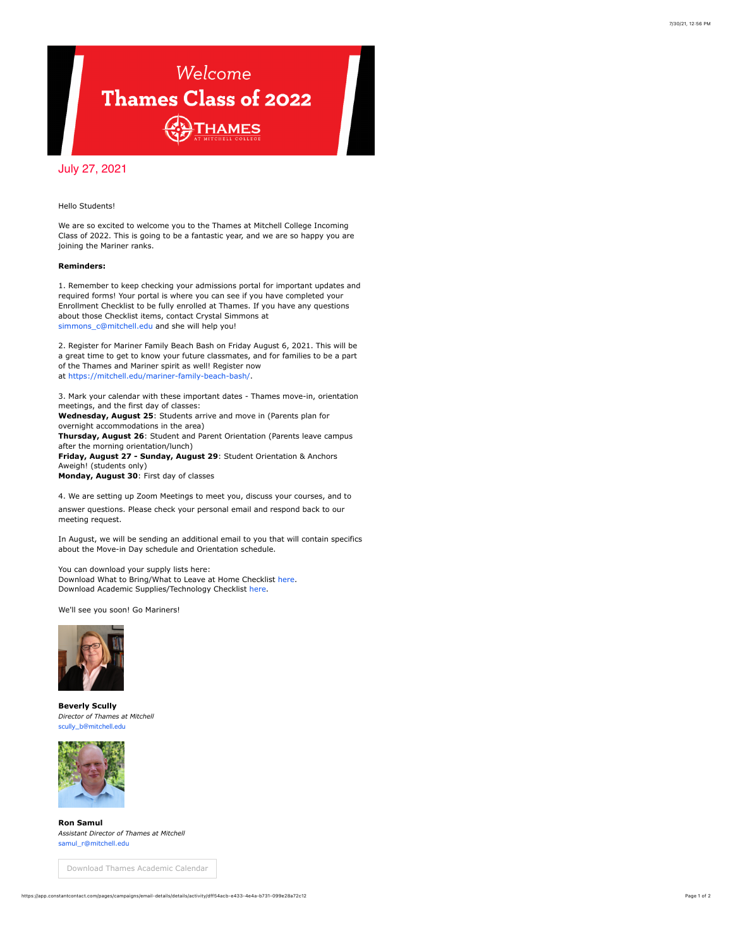## Welcome Thames Class of 2022 THAMES

## July 27, 2021

## Hello Students!

We are so excited to welcome you to the Thames at Mitchell College Incoming Class of 2022. This is going to be a fantastic year, and we are so happy you are joining the Mariner ranks.

## **Reminders:**

1. Remember to keep checking your admissions portal for important updates and required forms! Your portal is where you can see if you have completed your Enrollment Checklist to be fully enrolled at Thames. If you have any questions about those Checklist items, contact Crystal Simmons at simmons\_c@mitchell.edu and she will help you!

2. Register for Mariner Family Beach Bash on Friday August 6, 2021. This will be a great time to get to know your future classmates, and for families to be a part of the Thames and Mariner spirit as well! Register now at<https://mitchell.edu/mariner-family-beach-bash/>.

3. Mark your calendar with these important dates - Thames move-in, orientation meetings, and the first day of classes:

**Wednesday, August 25**: Students arrive and move in (Parents plan for overnight accommodations in the area)

**Thursday, August 26**: Student and Parent Orientation (Parents leave campus after the morning orientation/lunch)

**Friday, August 27 - Sunday, August 29**: Student Orientation & Anchors Aweigh! (students only)

**Monday, August 30**: First day of classes

4. We are setting up Zoom Meetings to meet you, discuss your courses, and to answer questions. Please check your personal email and respond back to our meeting request.

In August, we will be sending an additional email to you that will contain specifics about the Move-in Day schedule and Orientation schedule.

You can download your supply lists here: Download What to Bring/What to Leave at Home Checklist [here](https://mitchell.edu/wp-content/uploads/2021/06/WhattoBring_Thames_F2021.pdf). Download Academic Supplies/Technology Checklist [here](https://mitchell.edu/wp-content/uploads/2021/06/ThamesAcademicList_F2021.pdf).

We'll see you soon! Go Mariners!



**Beverly Scully** *Director of Thames at Mitchell* ully\_b@mitchell.edu



**Ron Samul** *Assistant Director of Thames at Mitchell* [samul\\_r@mitchell.edu](mailto:samul_r@mitchell.edu)

[Download Thames Academic Calendar](https://mitchell.edu/wp-content/uploads/2021/06/Thames_Academic-Calendar-2021-2022-v.4-6.23.2021-approved.pdf)

https://app.constantcontact.com/pages/campaigns/email-details/details/activity/dff54acb-e433-4e4a-b731-099e28a72c12 Page 1 of 2